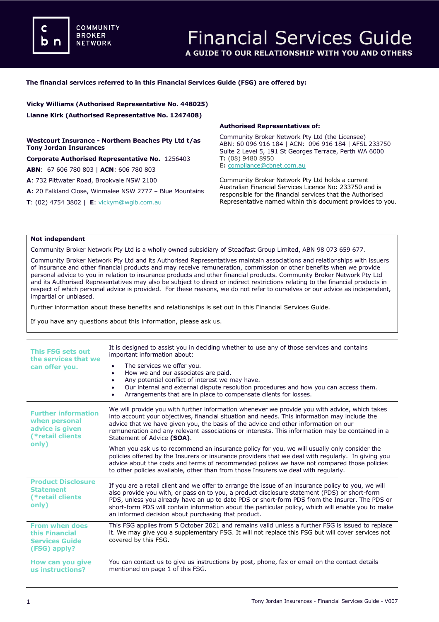**COMMUNITY BROKER NETWORK** 

# **The financial services referred to in this Financial Services Guide (FSG) are offered by:**

**Vicky Williams (Authorised Representative No. 448025) Lianne Kirk (Authorised Representative No. 1247408)**

## **Westcourt Insurance - Northern Beaches Pty Ltd t/as Tony Jordan Insurances**

**Corporate Authorised Representative No.** 1256403

**ABN**: 67 606 780 803 | **ACN**: 606 780 803

**A**: 732 Pittwater Road, Brookvale NSW 2100

**A**: 20 Falkland Close, Winmalee NSW 2777 – Blue Mountains

**T**: (02) 4754 3802 | **E**: [vickym@wgib.com.au](mailto:meena@dataprivacyinsurance.com.au)

#### **Authorised Representatives of:**

Community Broker Network Pty Ltd (the Licensee) ABN: 60 096 916 184 | ACN: 096 916 184 | AFSL 233750 Suite 2 Level 5, 191 St Georges Terrace, Perth WA 6000 **T:** (08) 9480 8950 **E:** [compliance@cbnet.com.au](mailto:queries@naswg.com.au) 

Community Broker Network Pty Ltd holds a current Australian Financial Services Licence No: 233750 and is responsible for the financial services that the Authorised Representative named within this document provides to you.

# **Not independent**

Community Broker Network Pty Ltd is a wholly owned subsidiary of Steadfast Group Limited, ABN 98 073 659 677.

Community Broker Network Pty Ltd and its Authorised Representatives maintain associations and relationships with issuers of insurance and other financial products and may receive remuneration, commission or other benefits when we provide personal advice to you in relation to insurance products and other financial products. Community Broker Network Pty Ltd and its Authorised Representatives may also be subject to direct or indirect restrictions relating to the financial products in respect of which personal advice is provided. For these reasons, we do not refer to ourselves or our advice as independent, impartial or unbiased.

Further information about these benefits and relationships is set out in this Financial Services Guide.

If you have any questions about this information, please ask us.

| <b>This FSG sets out</b><br>the services that we<br>can offer you.                          | It is designed to assist you in deciding whether to use any of those services and contains<br>important information about:<br>The services we offer you.<br>How we and our associates are paid.<br>٠<br>Any potential conflict of interest we may have.<br>٠<br>Our internal and external dispute resolution procedures and how you can access them.<br>٠<br>Arrangements that are in place to compensate clients for losses.                                     |
|---------------------------------------------------------------------------------------------|-------------------------------------------------------------------------------------------------------------------------------------------------------------------------------------------------------------------------------------------------------------------------------------------------------------------------------------------------------------------------------------------------------------------------------------------------------------------|
| <b>Further information</b><br>when personal<br>advice is given<br>(*retail clients<br>only) | We will provide you with further information whenever we provide you with advice, which takes<br>into account your objectives, financial situation and needs. This information may include the<br>advice that we have given you, the basis of the advice and other information on our<br>remuneration and any relevant associations or interests. This information may be contained in a<br>Statement of Advice (SOA).                                            |
|                                                                                             | When you ask us to recommend an insurance policy for you, we will usually only consider the<br>policies offered by the Insurers or insurance providers that we deal with regularly. In giving you<br>advice about the costs and terms of recommended polices we have not compared those policies<br>to other policies available, other than from those Insurers we deal with regularly.                                                                           |
| <b>Product Disclosure</b><br><b>Statement</b><br>(*retail clients<br>only)                  | If you are a retail client and we offer to arrange the issue of an insurance policy to you, we will<br>also provide you with, or pass on to you, a product disclosure statement (PDS) or short-form<br>PDS, unless you already have an up to date PDS or short-form PDS from the Insurer. The PDS or<br>short-form PDS will contain information about the particular policy, which will enable you to make<br>an informed decision about purchasing that product. |
| <b>From when does</b><br>this Financial<br><b>Services Guide</b><br>(FSG) apply?            | This FSG applies from 5 October 2021 and remains valid unless a further FSG is issued to replace<br>it. We may give you a supplementary FSG. It will not replace this FSG but will cover services not<br>covered by this FSG.                                                                                                                                                                                                                                     |
| How can you give<br>us instructions?                                                        | You can contact us to give us instructions by post, phone, fax or email on the contact details<br>mentioned on page 1 of this FSG.                                                                                                                                                                                                                                                                                                                                |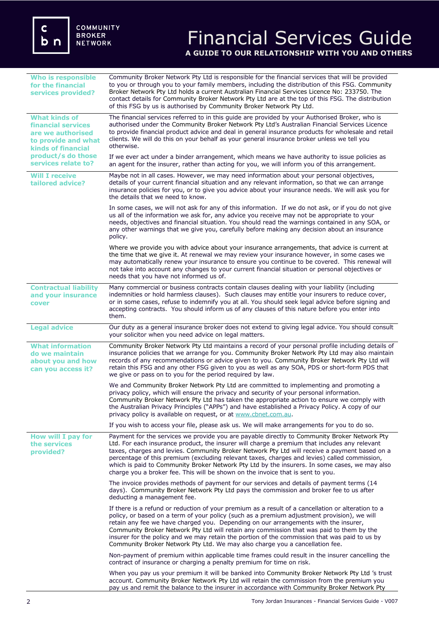# Financial Services Guide **A GUIDE TO OUR RELATIONSHIP WITH YOU AND OTHERS**

| <b>Who is responsible</b><br>for the financial<br>services provided?                                                                                                    | Community Broker Network Pty Ltd is responsible for the financial services that will be provided<br>to you or through you to your family members, including the distribution of this FSG. Community<br>Broker Network Pty Ltd holds a current Australian Financial Services Licence No: 233750. The<br>contact details for Community Broker Network Pty Ltd are at the top of this FSG. The distribution<br>of this FSG by us is authorised by Community Broker Network Pty Ltd.                                                                                                   |
|-------------------------------------------------------------------------------------------------------------------------------------------------------------------------|------------------------------------------------------------------------------------------------------------------------------------------------------------------------------------------------------------------------------------------------------------------------------------------------------------------------------------------------------------------------------------------------------------------------------------------------------------------------------------------------------------------------------------------------------------------------------------|
| <b>What kinds of</b><br><b>financial services</b><br>are we authorised<br>to provide and what<br><b>kinds of financial</b><br>product/s do those<br>services relate to? | The financial services referred to in this guide are provided by your Authorised Broker, who is<br>authorised under the Community Broker Network Pty Ltd's Australian Financial Services Licence<br>to provide financial product advice and deal in general insurance products for wholesale and retail<br>clients. We will do this on your behalf as your general insurance broker unless we tell you<br>otherwise.                                                                                                                                                               |
|                                                                                                                                                                         | If we ever act under a binder arrangement, which means we have authority to issue policies as<br>an agent for the insurer, rather than acting for you, we will inform you of this arrangement.                                                                                                                                                                                                                                                                                                                                                                                     |
| <b>Will I receive</b><br>tailored advice?                                                                                                                               | Maybe not in all cases. However, we may need information about your personal objectives,<br>details of your current financial situation and any relevant information, so that we can arrange<br>insurance policies for you, or to give you advice about your insurance needs. We will ask you for<br>the details that we need to know.                                                                                                                                                                                                                                             |
|                                                                                                                                                                         | In some cases, we will not ask for any of this information. If we do not ask, or if you do not give<br>us all of the information we ask for, any advice you receive may not be appropriate to your<br>needs, objectives and financial situation. You should read the warnings contained in any SOA, or<br>any other warnings that we give you, carefully before making any decision about an insurance<br>policy.                                                                                                                                                                  |
|                                                                                                                                                                         | Where we provide you with advice about your insurance arrangements, that advice is current at<br>the time that we give it. At renewal we may review your insurance however, in some cases we<br>may automatically renew your insurance to ensure you continue to be covered. This renewal will<br>not take into account any changes to your current financial situation or personal objectives or<br>needs that you have not informed us of.                                                                                                                                       |
| <b>Contractual liability</b><br>and your insurance<br>cover                                                                                                             | Many commercial or business contracts contain clauses dealing with your liability (including<br>indemnities or hold harmless clauses). Such clauses may entitle your insurers to reduce cover,<br>or in some cases, refuse to indemnify you at all. You should seek legal advice before signing and<br>accepting contracts. You should inform us of any clauses of this nature before you enter into<br>them.                                                                                                                                                                      |
| <b>Legal advice</b>                                                                                                                                                     | Our duty as a general insurance broker does not extend to giving legal advice. You should consult<br>your solicitor when you need advice on legal matters.                                                                                                                                                                                                                                                                                                                                                                                                                         |
| <b>What information</b><br>do we maintain<br>about you and how<br>can you access it?                                                                                    | Community Broker Network Pty Ltd maintains a record of your personal profile including details of<br>insurance policies that we arrange for you. Community Broker Network Pty Ltd may also maintain<br>records of any recommendations or advice given to you. Community Broker Network Pty Ltd will<br>retain this FSG and any other FSG given to you as well as any SOA, PDS or short-form PDS that<br>we give or pass on to you for the period required by law.                                                                                                                  |
|                                                                                                                                                                         | We and Community Broker Network Pty Ltd are committed to implementing and promoting a<br>privacy policy, which will ensure the privacy and security of your personal information.<br>Community Broker Network Pty Ltd has taken the appropriate action to ensure we comply with<br>the Australian Privacy Principles ("APPs") and have established a Privacy Policy. A copy of our<br>privacy policy is available on request, or at www.cbnet.com.au.                                                                                                                              |
|                                                                                                                                                                         | If you wish to access your file, please ask us. We will make arrangements for you to do so.                                                                                                                                                                                                                                                                                                                                                                                                                                                                                        |
| How will I pay for<br>the services<br>provided?                                                                                                                         | Payment for the services we provide you are payable directly to Community Broker Network Pty<br>Ltd. For each insurance product, the insurer will charge a premium that includes any relevant<br>taxes, charges and levies. Community Broker Network Pty Ltd will receive a payment based on a<br>percentage of this premium (excluding relevant taxes, charges and levies) called commission,<br>which is paid to Community Broker Network Pty Ltd by the insurers. In some cases, we may also<br>charge you a broker fee. This will be shown on the invoice that is sent to you. |
|                                                                                                                                                                         | The invoice provides methods of payment for our services and details of payment terms (14<br>days). Community Broker Network Pty Ltd pays the commission and broker fee to us after<br>deducting a management fee.                                                                                                                                                                                                                                                                                                                                                                 |
|                                                                                                                                                                         | If there is a refund or reduction of your premium as a result of a cancellation or alteration to a<br>policy, or based on a term of your policy (such as a premium adjustment provision), we will<br>retain any fee we have charged you. Depending on our arrangements with the insurer,<br>Community Broker Network Pty Ltd will retain any commission that was paid to them by the<br>insurer for the policy and we may retain the portion of the commission that was paid to us by<br>Community Broker Network Pty Ltd. We may also charge you a cancellation fee.              |
|                                                                                                                                                                         | Non-payment of premium within applicable time frames could result in the insurer cancelling the<br>contract of insurance or charging a penalty premium for time on risk.                                                                                                                                                                                                                                                                                                                                                                                                           |
|                                                                                                                                                                         | When you pay us your premium it will be banked into Community Broker Network Pty Ltd 's trust<br>account. Community Broker Network Pty Ltd will retain the commission from the premium you<br>pay us and remit the balance to the insurer in accordance with Community Broker Network Pty                                                                                                                                                                                                                                                                                          |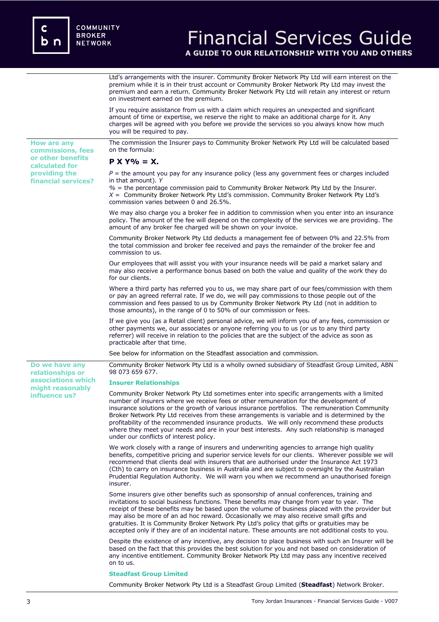**How are any commissions, fees or other benefits calculated for providing the financial services?**

**Do we have any relationships or associations which might reasonably influence us?** 

# Financial Services Guide

**A GUIDE TO OUR RELATIONSHIP WITH YOU AND OTHERS**

Ltd's arrangements with the insurer. Community Broker Network Pty Ltd will earn interest on the premium while it is in their trust account or Community Broker Network Pty Ltd may invest the premium and earn a return. Community Broker Network Pty Ltd will retain any interest or return on investment earned on the premium.

If you require assistance from us with a claim which requires an unexpected and significant amount of time or expertise, we reserve the right to make an additional charge for it. Any charges will be agreed with you before we provide the services so you always know how much you will be required to pay.

The commission the Insurer pays to Community Broker Network Pty Ltd will be calculated based on the formula:

# **P X Y% = X.**

 $P =$  the amount you pay for any insurance policy (less any government fees or charges included in that amount). *Y*

*%* = the percentage commission paid to Community Broker Network Pty Ltd by the Insurer. *X* = Community Broker Network Pty Ltd's commission. Community Broker Network Pty Ltd's commission varies between 0 and 26.5%.

We may also charge you a broker fee in addition to commission when you enter into an insurance policy. The amount of the fee will depend on the complexity of the services we are providing. The amount of any broker fee charged will be shown on your invoice.

Community Broker Network Pty Ltd deducts a management fee of between 0% and 22.5% from the total commission and broker fee received and pays the remainder of the broker fee and commission to us.

Our employees that will assist you with your insurance needs will be paid a market salary and may also receive a performance bonus based on both the value and quality of the work they do for our clients.

Where a third party has referred you to us, we may share part of our fees/commission with them or pay an agreed referral rate. If we do, we will pay commissions to those people out of the commission and fees passed to us by Community Broker Network Pty Ltd (not in addition to those amounts), in the range of 0 to 50% of our commission or fees.

If we give you (as a Retail client) personal advice, we will inform you of any fees, commission or other payments we, our associates or anyone referring you to us (or us to any third party referrer) will receive in relation to the policies that are the subject of the advice as soon as practicable after that time.

See below for information on the Steadfast association and commission.

Community Broker Network Pty Ltd is a wholly owned subsidiary of Steadfast Group Limited, ABN 98 073 659 677.

### **Insurer Relationships**

Community Broker Network Pty Ltd sometimes enter into specific arrangements with a limited number of insurers where we receive fees or other remuneration for the development of insurance solutions or the growth of various insurance portfolios. The remuneration Community Broker Network Pty Ltd receives from these arrangements is variable and is determined by the profitability of the recommended insurance products. We will only recommend these products where they meet your needs and are in your best interests. Any such relationship is managed under our conflicts of interest policy.

We work closely with a range of insurers and underwriting agencies to arrange high quality benefits, competitive pricing and superior service levels for our clients. Wherever possible we will recommend that clients deal with insurers that are authorised under the Insurance Act 1973 (Cth) to carry on insurance business in Australia and are subject to oversight by the Australian Prudential Regulation Authority. We will warn you when we recommend an unauthorised foreign insurer.

Some insurers give other benefits such as sponsorship of annual conferences, training and invitations to social business functions. These benefits may change from year to year. The receipt of these benefits may be based upon the volume of business placed with the provider but may also be more of an ad hoc reward. Occasionally we may also receive small gifts and gratuities. It is Community Broker Network Pty Ltd's policy that gifts or gratuities may be accepted only if they are of an incidental nature. These amounts are not additional costs to you.

Despite the existence of any incentive, any decision to place business with such an Insurer will be based on the fact that this provides the best solution for you and not based on consideration of any incentive entitlement. Community Broker Network Pty Ltd may pass any incentive received on to us.

# **Steadfast Group Limited**

Community Broker Network Pty Ltd is a Steadfast Group Limited (**Steadfast**) Network Broker.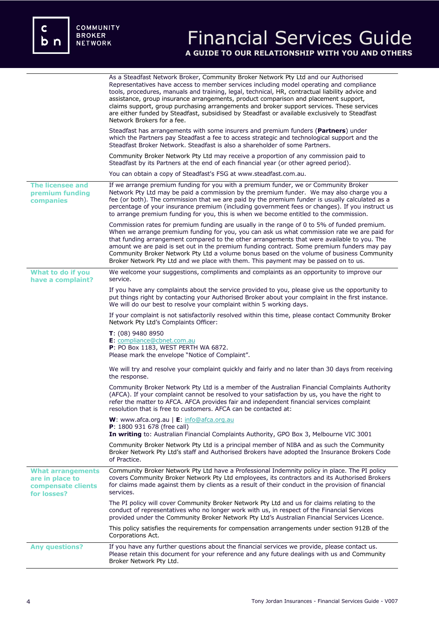c<br>b n

# Financial Services Guide **A GUIDE TO OUR RELATIONSHIP WITH YOU AND OTHERS**

|                                                                                  | As a Steadfast Network Broker, Community Broker Network Pty Ltd and our Authorised<br>Representatives have access to member services including model operating and compliance<br>tools, procedures, manuals and training, legal, technical, HR, contractual liability advice and<br>assistance, group insurance arrangements, product comparison and placement support,<br>claims support, group purchasing arrangements and broker support services. These services<br>are either funded by Steadfast, subsidised by Steadfast or available exclusively to Steadfast<br>Network Brokers for a fee. |
|----------------------------------------------------------------------------------|-----------------------------------------------------------------------------------------------------------------------------------------------------------------------------------------------------------------------------------------------------------------------------------------------------------------------------------------------------------------------------------------------------------------------------------------------------------------------------------------------------------------------------------------------------------------------------------------------------|
|                                                                                  | Steadfast has arrangements with some insurers and premium funders ( <b>Partners</b> ) under<br>which the Partners pay Steadfast a fee to access strategic and technological support and the<br>Steadfast Broker Network. Steadfast is also a shareholder of some Partners.                                                                                                                                                                                                                                                                                                                          |
|                                                                                  | Community Broker Network Pty Ltd may receive a proportion of any commission paid to<br>Steadfast by its Partners at the end of each financial year (or other agreed period).                                                                                                                                                                                                                                                                                                                                                                                                                        |
|                                                                                  | You can obtain a copy of Steadfast's FSG at www.steadfast.com.au.                                                                                                                                                                                                                                                                                                                                                                                                                                                                                                                                   |
| <b>The licensee and</b><br>premium funding<br>companies                          | If we arrange premium funding for you with a premium funder, we or Community Broker<br>Network Pty Ltd may be paid a commission by the premium funder. We may also charge you a<br>fee (or both). The commission that we are paid by the premium funder is usually calculated as a<br>percentage of your insurance premium (including government fees or changes). If you instruct us<br>to arrange premium funding for you, this is when we become entitled to the commission.                                                                                                                     |
|                                                                                  | Commission rates for premium funding are usually in the range of 0 to 5% of funded premium.<br>When we arrange premium funding for you, you can ask us what commission rate we are paid for<br>that funding arrangement compared to the other arrangements that were available to you. The<br>amount we are paid is set out in the premium funding contract. Some premium funders may pay<br>Community Broker Network Pty Ltd a volume bonus based on the volume of business Community<br>Broker Network Pty Ltd and we place with them. This payment may be passed on to us.                       |
| What to do if you<br>have a complaint?                                           | We welcome your suggestions, compliments and complaints as an opportunity to improve our<br>service.                                                                                                                                                                                                                                                                                                                                                                                                                                                                                                |
|                                                                                  | If you have any complaints about the service provided to you, please give us the opportunity to<br>put things right by contacting your Authorised Broker about your complaint in the first instance.<br>We will do our best to resolve your complaint within 5 working days.                                                                                                                                                                                                                                                                                                                        |
|                                                                                  | If your complaint is not satisfactorily resolved within this time, please contact Community Broker<br>Network Pty Ltd's Complaints Officer:                                                                                                                                                                                                                                                                                                                                                                                                                                                         |
|                                                                                  | $T: (08)$ 9480 8950<br>E: compliance@cbnet.com.au<br>P: PO Box 1183, WEST PERTH WA 6872.<br>Please mark the envelope "Notice of Complaint".                                                                                                                                                                                                                                                                                                                                                                                                                                                         |
|                                                                                  | We will try and resolve your complaint quickly and fairly and no later than 30 days from receiving<br>the response.                                                                                                                                                                                                                                                                                                                                                                                                                                                                                 |
|                                                                                  | Community Broker Network Pty Ltd is a member of the Australian Financial Complaints Authority<br>(AFCA). If your complaint cannot be resolved to your satisfaction by us, you have the right to<br>refer the matter to AFCA. AFCA provides fair and independent financial services complaint<br>resolution that is free to customers. AFCA can be contacted at:                                                                                                                                                                                                                                     |
|                                                                                  | <b>W</b> : www.afca.org.au $\mathsf{E}$ : info@afca.org.au<br>P: 1800 931 678 (free call)<br>In writing to: Australian Financial Complaints Authority, GPO Box 3, Melbourne VIC 3001                                                                                                                                                                                                                                                                                                                                                                                                                |
|                                                                                  | Community Broker Network Pty Ltd is a principal member of NIBA and as such the Community<br>Broker Network Pty Ltd's staff and Authorised Brokers have adopted the Insurance Brokers Code<br>of Practice.                                                                                                                                                                                                                                                                                                                                                                                           |
| <b>What arrangements</b><br>are in place to<br>compensate clients<br>for losses? | Community Broker Network Pty Ltd have a Professional Indemnity policy in place. The PI policy<br>covers Community Broker Network Pty Ltd employees, its contractors and its Authorised Brokers<br>for claims made against them by clients as a result of their conduct in the provision of financial<br>services.                                                                                                                                                                                                                                                                                   |
|                                                                                  | The PI policy will cover Community Broker Network Pty Ltd and us for claims relating to the<br>conduct of representatives who no longer work with us, in respect of the Financial Services<br>provided under the Community Broker Network Pty Ltd's Australian Financial Services Licence.                                                                                                                                                                                                                                                                                                          |
|                                                                                  | This policy satisfies the requirements for compensation arrangements under section 912B of the<br>Corporations Act.                                                                                                                                                                                                                                                                                                                                                                                                                                                                                 |
| <b>Any questions?</b>                                                            | If you have any further questions about the financial services we provide, please contact us.<br>Please retain this document for your reference and any future dealings with us and Community<br>Broker Network Pty Ltd.                                                                                                                                                                                                                                                                                                                                                                            |